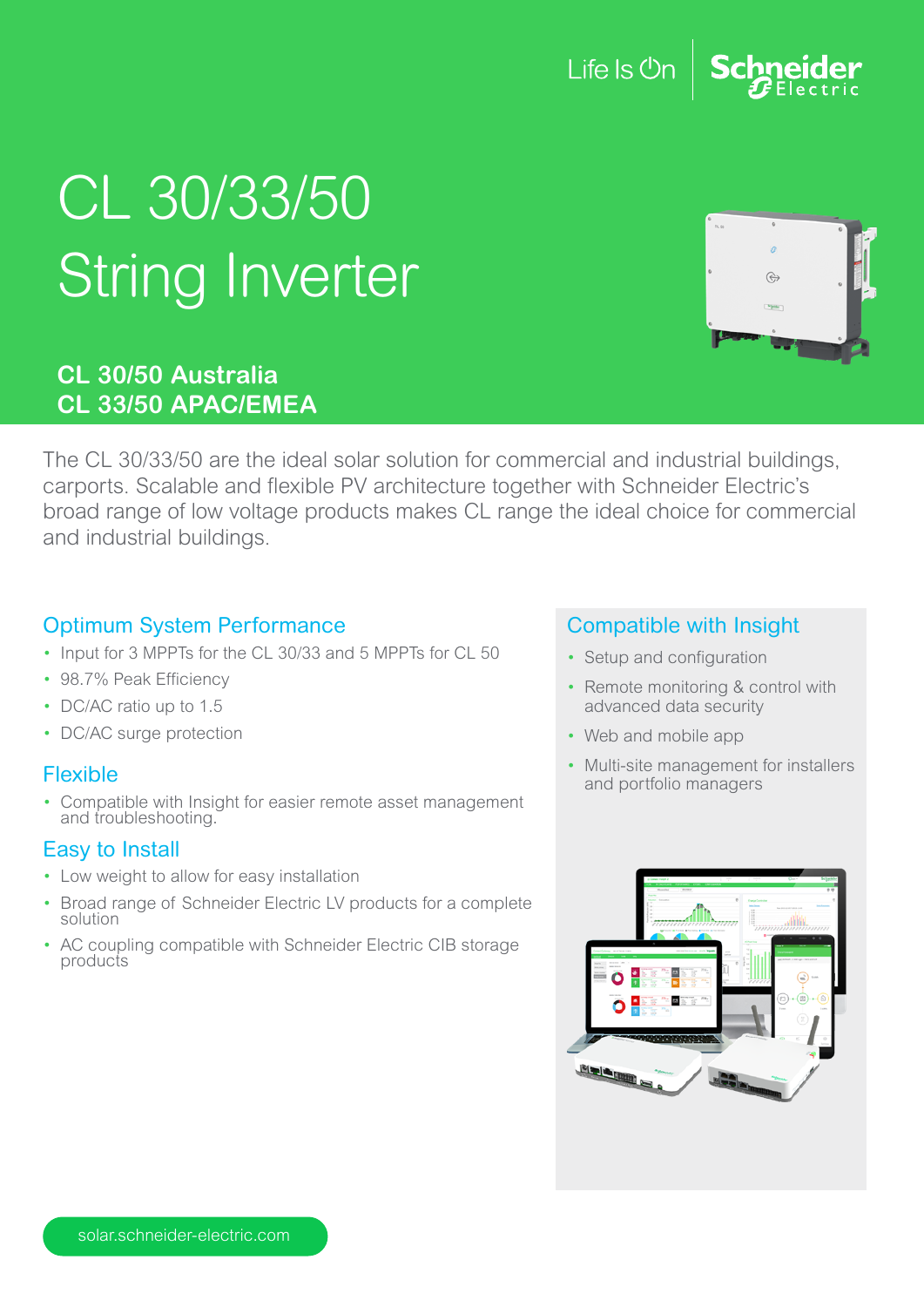### Life Is On

# CL 30/33/50 **String Inverter**

#### **CL 30/50 Australia CL 33/50 APAC/EMEA**

The CL 30/33/50 are the ideal solar solution for commercial and industrial buildings, carports. Scalable and flexible PV architecture together with Schneider Electric's broad range of low voltage products makes CL range the ideal choice for commercial and industrial buildings.

#### Optimum System Performance

- Input for 3 MPPTs for the CL 30/33 and 5 MPPTs for CL 50
- 98.7% Peak Efficiency
- DC/AC ratio up to 1.5
- DC/AC surge protection

#### Flexible

• Compatible with Insight for easier remote asset management and troubleshooting.

#### Easy to Install

- Low weight to allow for easy installation
- Broad range of Schneider Electric LV products for a complete solution
- AC coupling compatible with Schneider Electric CIB storage products

#### Compatible with Insight

- Setup and configuration
- Remote monitoring & control with advanced data security
- Web and mobile app
- Multi-site management for installers and portfolio managers